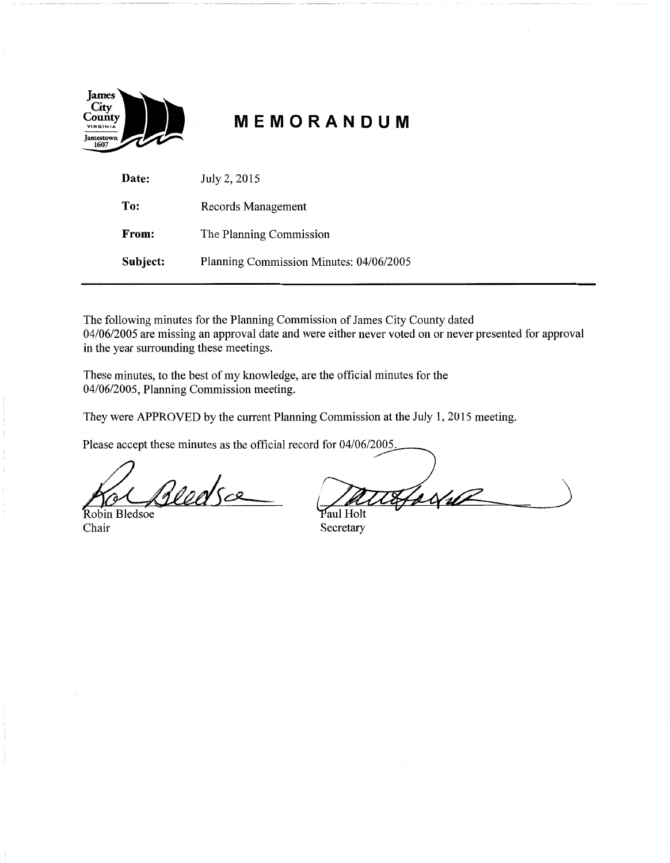

# **MEMORANDUM**

| Date:    | July 2, 2015                            |
|----------|-----------------------------------------|
| To:      | Records Management                      |
| From:    | The Planning Commission                 |
| Subject: | Planning Commission Minutes: 04/06/2005 |

The following minutes for the Planning Commission of James City County dated 04/06/2005 are missing an approval date and were either never voted on or never presented for approval in the year surrounding these meetings.

These minutes, to the best of my knowledge, are the official minutes for the 04/06/2005, Planning Commission meeting.

They were APPROVED by the current Planning Commission at the July 1, 2015 meeting.

Please accept these minutes as the official record for  $04/06/2005$ .

Reedsce

obin Bledsoe Chair Secretary

ferfil

Paul Holt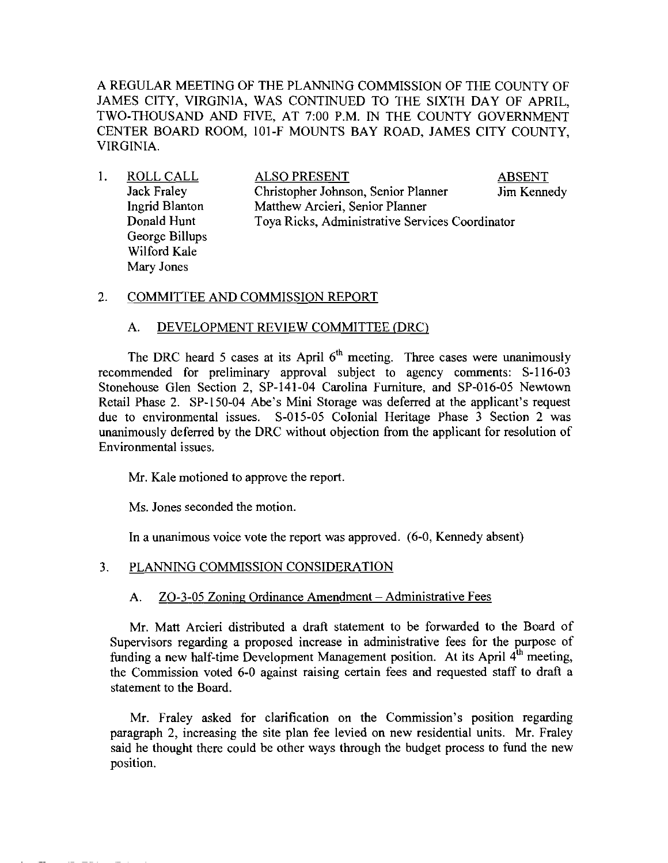A REGULAR MEETING OF THE PLANNING COMMISSION OF THE COUNTY OF JAMES CITY, VIRGINIA, WAS CONTINUED TO THE SIXTH DAY OF APRIL, TWO-THOUSAND AND FIVE, AT 7:00 P.M. IN THE COUNTY GOVERNMENT CENTER BOARD ROOM, 101-F MOUNTS BAY ROAD, JAMES CITY COUNTY, VIRGINIA.

| ROLL CALL          | <b>ALSO PRESENT</b>                             | <b>ABSENT</b> |  |
|--------------------|-------------------------------------------------|---------------|--|
| <b>Jack Fraley</b> | Christopher Johnson, Senior Planner             | Jim Kennedy   |  |
| Ingrid Blanton     | Matthew Arcieri, Senior Planner                 |               |  |
| Donald Hunt        | Toya Ricks, Administrative Services Coordinator |               |  |
| George Billups     |                                                 |               |  |
| Wilford Kale       |                                                 |               |  |
| Mary Jones         |                                                 |               |  |
|                    |                                                 |               |  |

### 2. COMMITTEE AND COMMISSION REPORT

### A. DEVELOPMENT REVIEW COMMITTEE (DRC)

The DRC heard 5 cases at its April  $6<sup>th</sup>$  meeting. Three cases were unanimously recommended for preliminary approval subject to agency comments: S-116-03 Stonehouse Glen Section 2, SP-141-04 Carolina Furniture, and SP-016-05 Newtown Retail Phase 2. SP-150-04 Abe's Mini Storage was deferred at the applicant's request due to environmental issues. S-015-05 Colonial Heritage Phase 3 Section 2 was unanimously deferred by the DRC without objection from the applicant for resolution of Environmental issues.

Mr. Kale motioned to approve the report.

Ms. Jones seconded the motion.

In a unanimous voice vote the report was approved. (6-0, Kennedy absent)

# 3. PLANNING COMMISSION CONSIDERATION

# A. ZO-3-05 Zoning Ordinance Amendment - Administrative Fees

Mr. Matt Arcieri distributed a draft statement to be forwarded to the Board of Supervisors regarding a proposed increase in administrative fees for the purpose of funding a new half-time Development Management position. At its April 4<sup>th</sup> meeting, the Commission voted 6-0 against raising certain fees and requested staff to draft a statement to the Board.

Mr. Fraley asked for clarification on the Commission's position regarding paragraph 2, increasing the site plan fee levied on new residential units. Mr. Fraley said he thought there could be other ways through the budget process to fund the new position.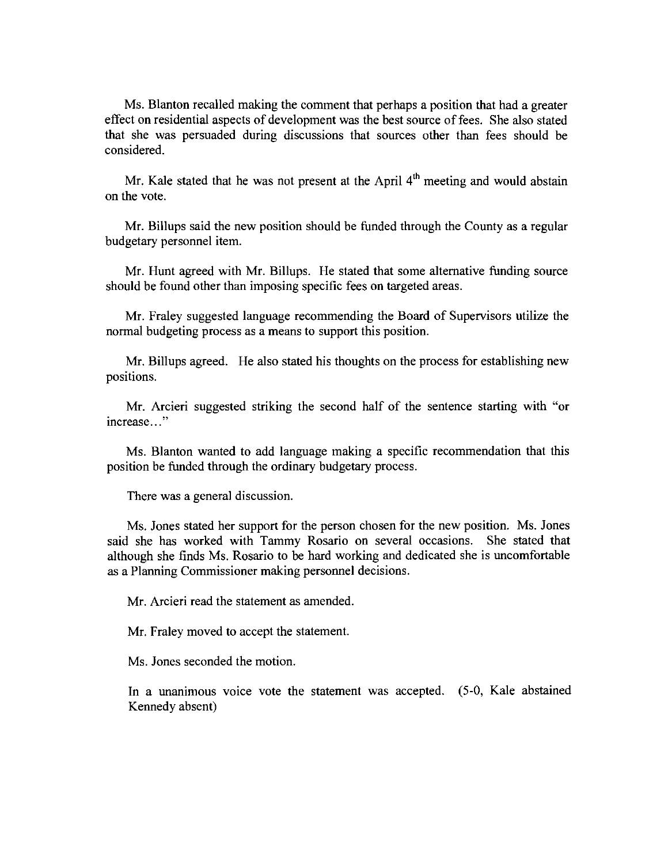Ms. Blanton recalled making the comment that perhaps a position that had a greater effect on residential aspects of development was the best source of fees. She also stated that she was persuaded during discussions that sources other than fees should be considered.

Mr. Kale stated that he was not present at the April  $4<sup>th</sup>$  meeting and would abstain on the vote.

Mr. Billups said the new position should be funded through the County as a regular budgetary personnel item.

Mr. Hunt agreed with Mr. Billups. He stated that some alternative funding source should be found other than imposing specific fees on targeted areas.

Mr. Fraley suggested language recommending the Board of Supervisors utilize the normal budgeting process as a means to support this position.

Mr. Billups agreed. He also stated his thoughts on the process for establishing new positions.

Mr. Arcieri suggested striking the second half of the sentence starting with "or . increase..."

Ms. Blanton wanted to add language making a specific recommendation that this position be funded through the ordinary budgetary process.

There was a general discussion.

Ms. Jones stated her support for the person chosen for the new position. Ms. Jones said she has worked with Tammy Rosario on several occasions. She stated that although she finds Ms. Rosario to be hard working and dedicated she is uncomfortable as a Plarming Commissioner making personnel decisions.

Mr. Arcieri read the statement as amended.

Mr. Fraley moved to accept the statement.

Ms. Jones seconded the motion.

In a unanimous voice vote the statement was accepted. (5-0, Kale abstained Kennedy absent)